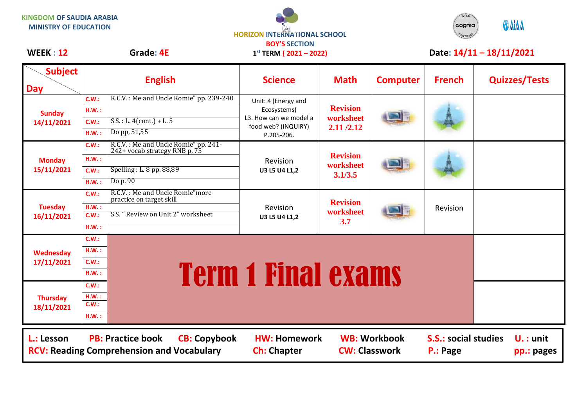**KINGDOM OF SAUDIA ARABIA MINISTRY OF EDUCATION**





## WEEK : 12 Grade: 4E 1<sup>st</sup> TERM ( 2021 – 2022) Date: 14/11 – 18/11/2021

| <b>Subject</b><br><b>Day</b>                                                                                      | <b>English</b> |                                                                       | <b>Science</b>                                                                                    | <b>Math</b>                               | <b>Computer</b>     | <b>French</b>                           | <b>Quizzes/Tests</b>     |
|-------------------------------------------------------------------------------------------------------------------|----------------|-----------------------------------------------------------------------|---------------------------------------------------------------------------------------------------|-------------------------------------------|---------------------|-----------------------------------------|--------------------------|
| <b>Sunday</b><br>14/11/2021                                                                                       | C.W.:          | R.C.V.: Me and Uncle Romie" pp. 239-240                               | Unit: 4 (Energy and<br>Ecosystems)<br>L3. How can we model a<br>food web? (INQUIRY)<br>P.205-206. | <b>Revision</b><br>worksheet<br>2.11/2.12 |                     |                                         |                          |
|                                                                                                                   | HM.:           |                                                                       |                                                                                                   |                                           |                     |                                         |                          |
|                                                                                                                   | C.W.:          | $S.S. : L. 4 (cont.) + L. 5$                                          |                                                                                                   |                                           |                     |                                         |                          |
|                                                                                                                   | H.W.:          | Do pp, 51,55                                                          |                                                                                                   |                                           |                     |                                         |                          |
| <b>Monday</b><br>15/11/2021                                                                                       | C.W.:          | R.C.V.: Me and Uncle Romie" pp. 241-<br>242+ vocab strategy RNB p. 75 |                                                                                                   | <b>Revision</b><br>worksheet<br>3.1/3.5   |                     |                                         |                          |
|                                                                                                                   | H.W.:          |                                                                       | Revision                                                                                          |                                           |                     |                                         |                          |
|                                                                                                                   | C.W.:          | Spelling: L. 8 pp. 88,89                                              | U3 L5 U4 L1,2                                                                                     |                                           |                     |                                         |                          |
|                                                                                                                   | H.W.:          | Do p. 90                                                              |                                                                                                   |                                           |                     |                                         |                          |
| <b>Tuesday</b><br>16/11/2021                                                                                      | C.W.:          | R.C.V.: Me and Uncle Romie" more<br>practice on target skill          | Revision                                                                                          | <b>Revision</b><br>worksheet<br>3.7       |                     | Revision                                |                          |
|                                                                                                                   | H.W.:          |                                                                       |                                                                                                   |                                           |                     |                                         |                          |
|                                                                                                                   | C.W.:          | S.S. "Review on Unit 2" worksheet                                     | U3 L5 U4 L1,2                                                                                     |                                           |                     |                                         |                          |
|                                                                                                                   | H.W.:          |                                                                       |                                                                                                   |                                           |                     |                                         |                          |
| Wednesday<br>17/11/2021                                                                                           | C.W.:          |                                                                       |                                                                                                   |                                           |                     |                                         |                          |
|                                                                                                                   | H.W.:          |                                                                       |                                                                                                   |                                           |                     |                                         |                          |
|                                                                                                                   | C.W.:          |                                                                       |                                                                                                   |                                           |                     |                                         |                          |
|                                                                                                                   | H.W.:          |                                                                       |                                                                                                   |                                           |                     |                                         |                          |
| <b>Thursday</b><br>18/11/2021                                                                                     | C.W.:          | <b>Term 1 Final exams</b>                                             |                                                                                                   |                                           |                     |                                         |                          |
|                                                                                                                   | H.W.:<br>C.W.: |                                                                       |                                                                                                   |                                           |                     |                                         |                          |
|                                                                                                                   | HM.:           |                                                                       |                                                                                                   |                                           |                     |                                         |                          |
|                                                                                                                   |                |                                                                       |                                                                                                   |                                           |                     |                                         |                          |
| <b>PB: Practice book</b><br><b>CB: Copybook</b><br>L.: Lesson<br><b>RCV: Reading Comprehension and Vocabulary</b> |                |                                                                       | <b>HW: Homework</b><br><b>Ch: Chapter</b>                                                         | <b>CW: Classwork</b>                      | <b>WB: Workbook</b> | <b>S.S.: social studies</b><br>P.: Page | $U.:$ unit<br>pp.: pages |